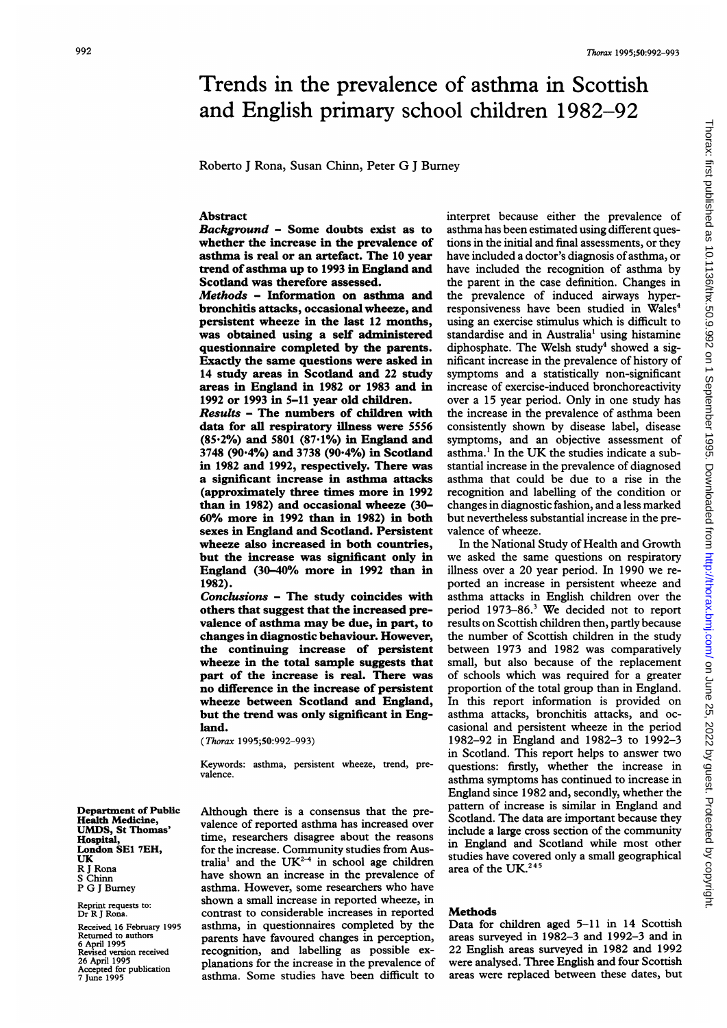# $\frac{1}{2}$ <br> $\frac{1}{2}$ Trends in the prevalence of asthma in Scottish and English primary school children 1982-92

Roberto <sup>J</sup> Rona, Susan Chinn, Peter G <sup>J</sup> Burney

## Abstract

Background - Some doubts exist as to whether the increase in the prevalence of asthma is real or an artefact. The 10 year trend of asthma up to 1993 in England and Scotland was therefore assessed.

Methods - Information on asthma and bronchitis attacks, occasional wheeze, and persistent wheeze in the last 12 months, was obtained using a self administered questionnaire completed by the parents. Exactly the same questions were asked in 14 study areas in Scotland and 22 study areas in England in 1982 or 1983 and in 1992 or 1993 in 5-11 year old children.

Results - The numbers of children with data for all respiratory illness were 5556  $(85.2%)$  and 5801  $(87.1%)$  in England and 3748 (90.4%) and 3738 (90.4%) in Scotland in 1982 and 1992, respectively. There was a significant increase in asthma attacks (approximately three times more in 1992 than in 1982) and occasional wheeze (30- 60% more in 1992 than in 1982) in both sexes in England and Scotland. Persistent wheeze also increased in both countries, but the increase was significant only in England (30-40% more in 1992 than in 1982).

Conclusions - The study coincides with others that suggest that the increased prevalence of asthma may be due, in part, to changes in diagnostic behaviour. However, the continuing increase of persistent wheeze in the total sample suggests that part of the increase is real. There was no difference in the increase of persistent wheeze between Scotland and England, but the trend was only significant in England.

(Thorax 1995;50:992-993)

Keywords: asthma, persistent wheeze, trend, prevalence.

Although there is a consensus that the prevalence of reported asthma has increased over time, researchers disagree about the reasons for the increase. Community studies from Australia<sup>1</sup> and the UK<sup>2-4</sup> in school age children have shown an increase in the prevalence of asthma. However, some researchers who have shown a small increase in reported wheeze, in contrast to considerable increases in reported asthma, in questionnaires completed by the parents have favoured changes in perception, recognition, and labelling as possible explanations for the increase in the prevalence of asthma. Some studies have been difficult to interpret because either the prevalence of asthma has been estimated using different questions in the initial and final assessments, or they have included a doctor's diagnosis of asthma, or have included the recognition of asthma by the parent in the case definition. Changes in the prevalence of induced airways hyperresponsiveness have been studied in Wales<sup>4</sup> using an exercise stimulus which is difficult to standardise and in Australia' using histamine diphosphate. The Welsh study<sup>4</sup> showed a significant increase in the prevalence of history of symptoms and a statistically non-significant increase of exercise-induced bronchoreactivity over a 15 year period. Only in one study has the increase in the prevalence of asthma been consistently shown by disease label, disease symptoms, and an objective assessment of asthma.' In the UK the studies indicate <sup>a</sup> substantial increase in the prevalence of diagnosed asthma that could be due to a rise in the recognition and labelling of the condition or changes in diagnostic fashion, and a less marked but nevertheless substantial increase in the prevalence of wheeze.

In the National Study of Health and Growth we asked the same questions on respiratory illness over a 20 year period. In 1990 we reported an increase in persistent wheeze and asthma attacks in English children over the period 1973-86.3 We decided not to report results on Scottish children then, partly because the number of Scottish children in the study between 1973 and 1982 was comparatively small, but also because of the replacement of schools which was required for a greater proportion of the total group than in England. In this report information is provided on asthma attacks, bronchitis attacks, and occasional and persistent wheeze in the period 1982-92 in England and 1982-3 to 1992-3 in Scotland. This report helps to answer two questions: firstly, whether the increase in asthma symptoms has continued to increase in England since 1982 and, secondly, whether the pattern of increase is similar in England and Scotland. The data are important because they include a large cross section of the community in England and Scotland while most other studies have covered only a small geographical area of the UK. $^{245}$ 

# Methods

Data for children aged 5-11 in 14 Scottish areas surveyed in 1982-3 and 1992-3 and in 22 English areas surveyed in 1982 and 1992 were analysed. Three English and four Scottish areas were replaced between these dates, but

Department of Public Health Medicine, UMDS, St Thomas' Hospital, London SE1 7EH, UK R <sup>J</sup> Rona S Chinn P G <sup>J</sup> Burney

Reprint requests to: Dr R <sup>J</sup> Rona.

Received 16 February 1995 Returned to authors 6 April 1995 Revised version received 26 April 1995 Accepted for publication 7 June 1995